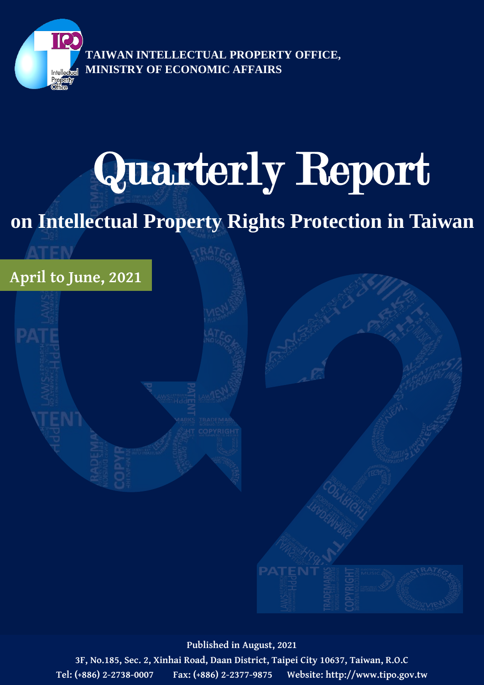

**TAIWAN INTELLECTUAL PROPERTY OFFICE, MINISTRY OF ECONOMIC AFFAIRS**

# Quarterly Report

## **on Intellectual Property Rights Protection in Taiwan**



**Published in August, 2021**

**3F, No.185, Sec. 2, Xinhai Road, Daan District, Taipei City 10637, Taiwan, R.O.C Tel: (+886) 2-2738-0007 Fax: (+886) 2-2377-9875 Website: http://www.tipo.gov.tw**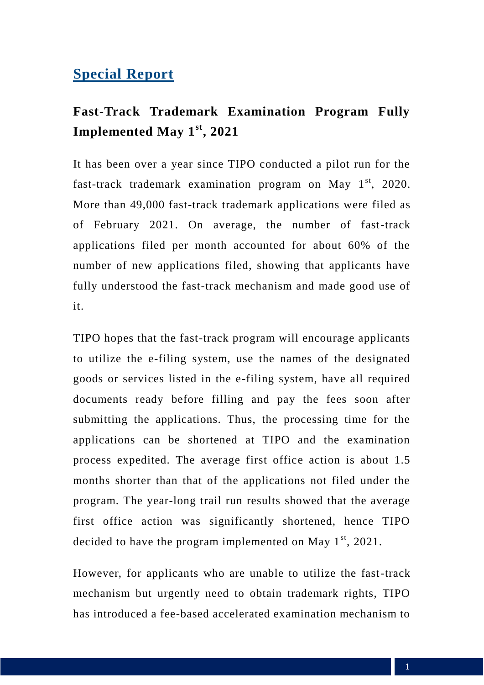## **Special Report**

## **Fast-Track Trademark Examination Program Fully Implemented May 1st, 2021**

It has been over a year since TIPO conducted a pilot run for the fast-track trademark examination program on May  $1<sup>st</sup>$ , 2020. More than 49,000 fast-track trademark applications were filed as of February 2021. On average, the number of fast-track applications filed per month accounted for about 60% of the number of new applications filed, showing that applicants have fully understood the fast-track mechanism and made good use of it.

TIPO hopes that the fast-track program will encourage applicants to utilize the e-filing system, use the names of the designated goods or services listed in the e-filing system, have all required documents ready before filling and pay the fees soon after submitting the applications. Thus, the processing time for the applications can be shortened at TIPO and the examination process expedited. The average first office action is about 1.5 months shorter than that of the applications not filed under the program. The year-long trail run results showed that the average first office action was significantly shortened, hence TIPO decided to have the program implemented on May  $1<sup>st</sup>$ , 2021.

However, for applicants who are unable to utilize the fast-track mechanism but urgently need to obtain trademark rights, TIPO has introduced a fee-based accelerated examination mechanism to

**1**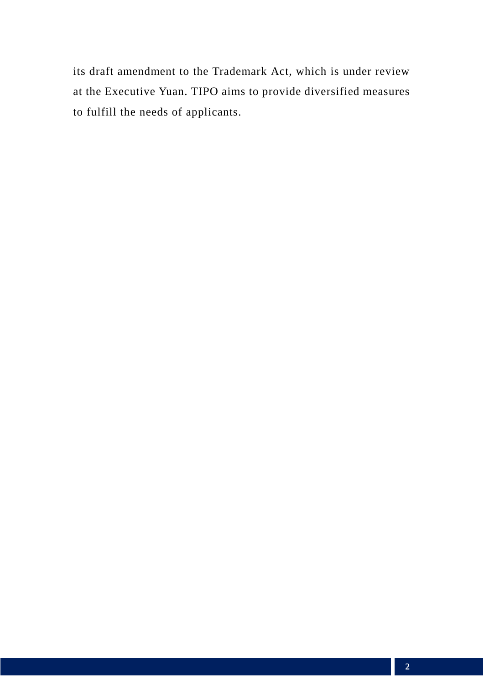its draft amendment to the Trademark Act, which is under review at the Executive Yuan. TIPO aims to provide diversified measures to fulfill the needs of applicants.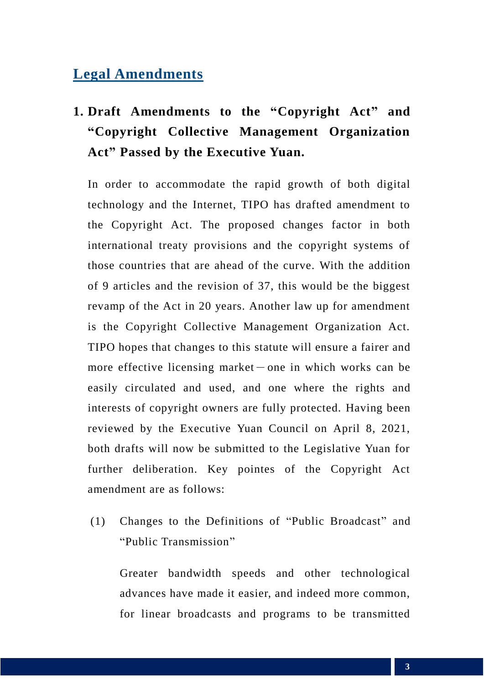### **Legal Amendments**

## **1. Draft Amendments to the "Copyright Act" and "Copyright Collective Management Organization Act" Passed by the Executive Yuan.**

In order to accommodate the rapid growth of both digital technology and the Internet, TIPO has drafted amendment to the Copyright Act. The proposed changes factor in both international treaty provisions and the copyright systems of those countries that are ahead of the curve. With the addition of 9 articles and the revision of 37, this would be the biggest revamp of the Act in 20 years. Another law up for amendment is the Copyright Collective Management Organization Act. TIPO hopes that changes to this statute will ensure a fairer and more effective licensing market-one in which works can be easily circulated and used, and one where the rights and interests of copyright owners are fully protected. Having been reviewed by the Executive Yuan Council on April 8, 2021, both drafts will now be submitted to the Legislative Yuan for further deliberation. Key pointes of the Copyright Act amendment are as follows:

(1) Changes to the Definitions of "Public Broadcast" and "Public Transmission"

Greater bandwidth speeds and other technological advances have made it easier, and indeed more common, for linear broadcasts and programs to be transmitted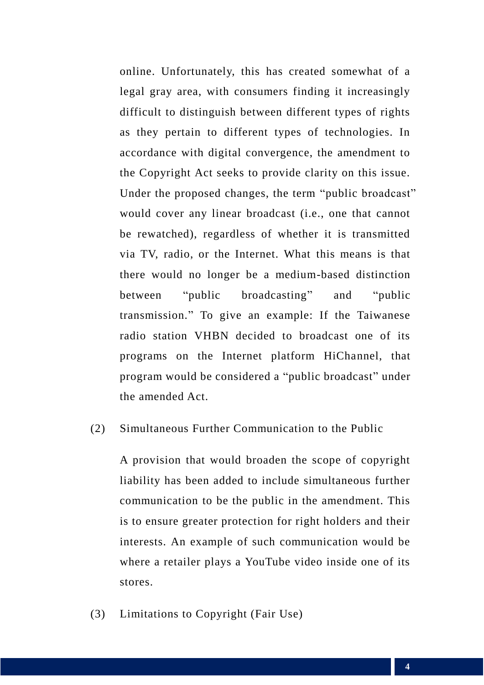online. Unfortunately, this has created somewhat of a legal gray area, with consumers finding it increasingly difficult to distinguish between different types of rights as they pertain to different types of technologies. In accordance with digital convergence, the amendment to the Copyright Act seeks to provide clarity on this issue. Under the proposed changes, the term "public broadcast" would cover any linear broadcast (i.e., one that cannot be rewatched), regardless of whether it is transmitted via TV, radio, or the Internet. What this means is that there would no longer be a medium-based distinction between "public broadcasting" and "public transmission." To give an example: If the Taiwanese radio station VHBN decided to broadcast one of its programs on the Internet platform HiChannel, that program would be considered a "public broadcast" under the amended Act.

#### (2) Simultaneous Further Communication to the Public

A provision that would broaden the scope of copyright liability has been added to include simultaneous further communication to be the public in the amendment. This is to ensure greater protection for right holders and their interests. An example of such communication would be where a retailer plays a YouTube video inside one of its stores.

(3) Limitations to Copyright (Fair Use)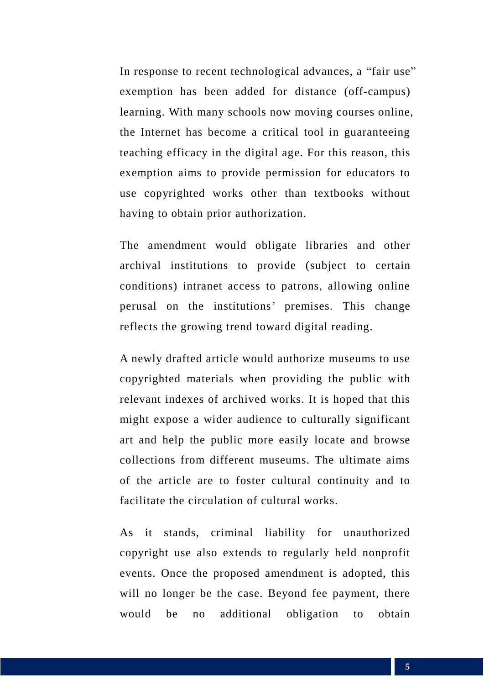In response to recent technological advances, a "fair use" exemption has been added for distance (off-campus) learning. With many schools now moving courses online, the Internet has become a critical tool in guaranteeing teaching efficacy in the digital age. For this reason, this exemption aims to provide permission for educators to use copyrighted works other than textbooks without having to obtain prior authorization.

The amendment would obligate libraries and other archival institutions to provide (subject to certain conditions) intranet access to patrons, allowing online perusal on the institutions' premises. This change reflects the growing trend toward digital reading.

A newly drafted article would authorize museums to use copyrighted materials when providing the public with relevant indexes of archived works. It is hoped that this might expose a wider audience to culturally significant art and help the public more easily locate and browse collections from different museums. The ultimate aims of the article are to foster cultural continuity and to facilitate the circulation of cultural works.

As it stands, criminal liability for unauthorized copyright use also extends to regularly held nonprofit events. Once the proposed amendment is adopted, this will no longer be the case. Beyond fee payment, there would be no additional obligation to obtain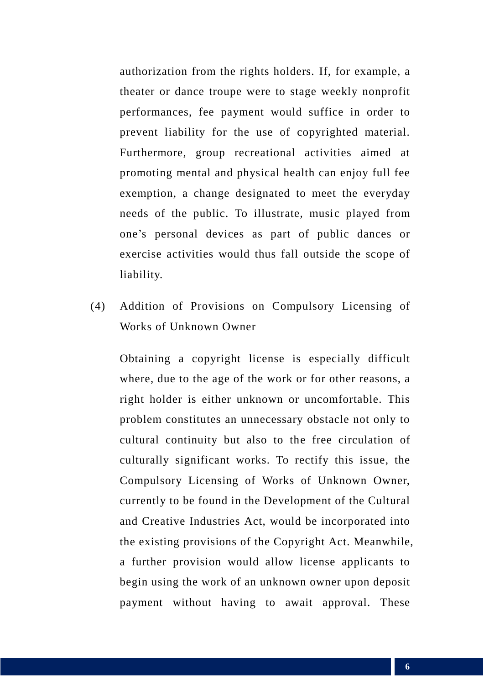authorization from the rights holders. If, for example, a theater or dance troupe were to stage weekly nonprofit performances, fee payment would suffice in order to prevent liability for the use of copyrighted material. Furthermore, group recreational activities aimed at promoting mental and physical health can enjoy full fee exemption, a change designated to meet the everyday needs of the public. To illustrate, music played from one's personal devices as part of public dances or exercise activities would thus fall outside the scope of liability.

(4) Addition of Provisions on Compulsory Licensing of Works of Unknown Owner

Obtaining a copyright license is especially difficult where, due to the age of the work or for other reasons, a right holder is either unknown or uncomfortable. This problem constitutes an unnecessary obstacle not only to cultural continuity but also to the free circulation of culturally significant works. To rectify this issue, the Compulsory Licensing of Works of Unknown Owner, currently to be found in the Development of the Cultural and Creative Industries Act, would be incorporated into the existing provisions of the Copyright Act. Meanwhile, a further provision would allow license applicants to begin using the work of an unknown owner upon deposit payment without having to await approval. These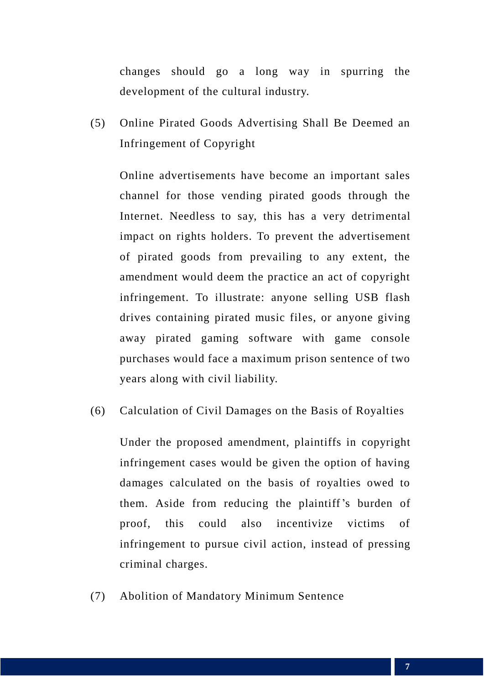changes should go a long way in spurring the development of the cultural industry.

(5) Online Pirated Goods Advertising Shall Be Deemed an Infringement of Copyright

Online advertisements have become an important sales channel for those vending pirated goods through the Internet. Needless to say, this has a very detrimental impact on rights holders. To prevent the advertisement of pirated goods from prevailing to any extent, the amendment would deem the practice an act of copyright infringement. To illustrate: anyone selling USB flash drives containing pirated music files, or anyone giving away pirated gaming software with game console purchases would face a maximum prison sentence of two years along with civil liability.

(6) Calculation of Civil Damages on the Basis of Royalties

Under the proposed amendment, plaintiffs in copyright infringement cases would be given the option of having damages calculated on the basis of royalties owed to them. Aside from reducing the plaintiff's burden of proof, this could also incentivize victims of infringement to pursue civil action, instead of pressing criminal charges.

(7) Abolition of Mandatory Minimum Sentence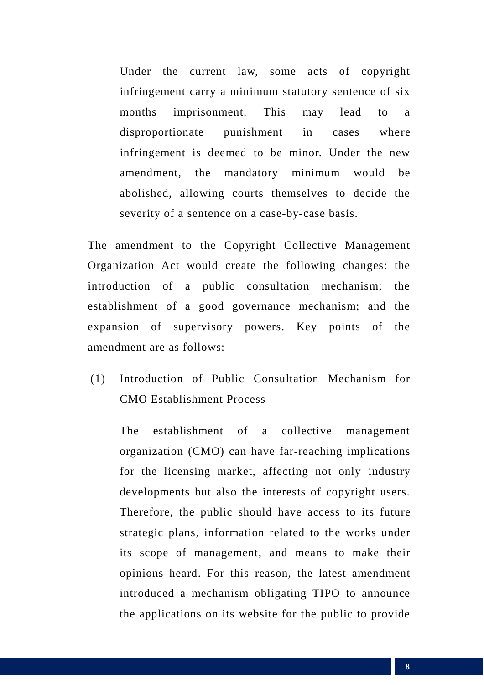Under the current law, some acts of copyright infringement carry a minimum statutory sentence of six months imprisonment. This may lead to a disproportionate punishment in cases where infringement is deemed to be minor. Under the new amendment, the mandatory minimum would be abolished, allowing courts themselves to decide the severity of a sentence on a case-by-case basis.

The amendment to the Copyright Collective Management Organization Act would create the following changes: the introduction of a public consultation mechanism; the establishment of a good governance mechanism; and the expansion of supervisory powers. Key points of the amendment are as follows:

(1) Introduction of Public Consultation Mechanism for CMO Establishment Process

The establishment of a collective management organization (CMO) can have far-reaching implications for the licensing market, affecting not only industry developments but also the interests of copyright users. Therefore, the public should have access to its future strategic plans, information related to the works under its scope of management, and means to make their opinions heard. For this reason, the latest amendment introduced a mechanism obligating TIPO to announce the applications on its website for the public to provide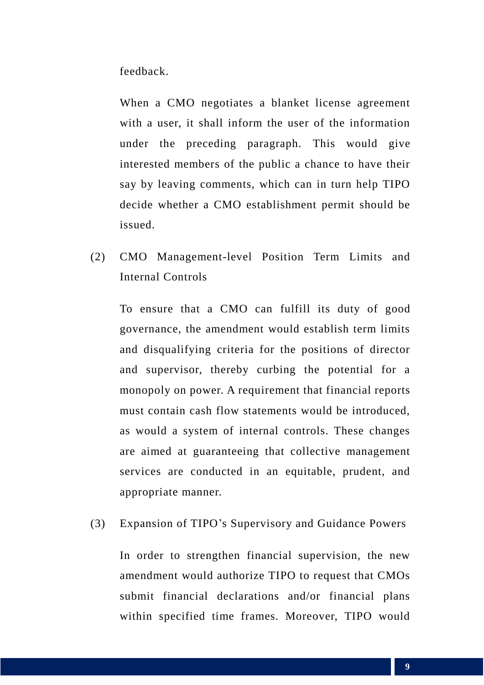feedback.

When a CMO negotiates a blanket license agreement with a user, it shall inform the user of the information under the preceding paragraph. This would give interested members of the public a chance to have their say by leaving comments, which can in turn help TIPO decide whether a CMO establishment permit should be issued.

(2) CMO Management-level Position Term Limits and Internal Controls

To ensure that a CMO can fulfill its duty of good governance, the amendment would establish term limits and disqualifying criteria for the positions of director and supervisor, thereby curbing the potential for a monopoly on power. A requirement that financial reports must contain cash flow statements would be introduced, as would a system of internal controls. These changes are aimed at guaranteeing that collective management services are conducted in an equitable, prudent, and appropriate manner.

(3) Expansion of TIPO's Supervisory and Guidance Powers

In order to strengthen financial supervision, the new amendment would authorize TIPO to request that CMOs submit financial declarations and/or financial plans within specified time frames. Moreover, TIPO would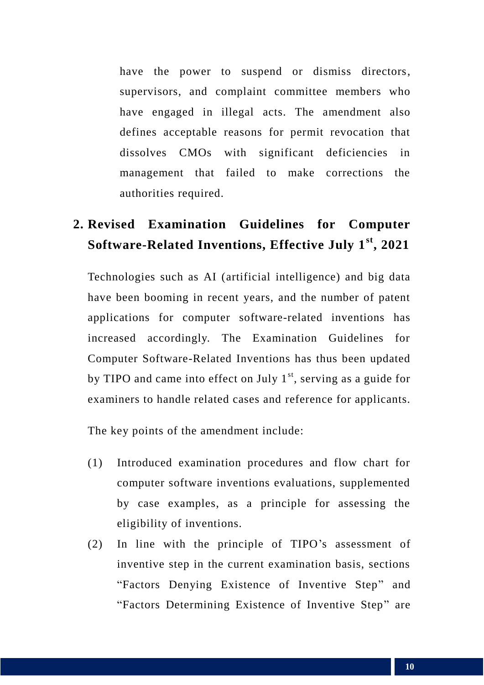have the power to suspend or dismiss directors, supervisors, and complaint committee members who have engaged in illegal acts. The amendment also defines acceptable reasons for permit revocation that dissolves CMOs with significant deficiencies in management that failed to make corrections the authorities required.

## **2. Revised Examination Guidelines for Computer Software-Related Inventions, Effective July 1st, 2021**

Technologies such as AI (artificial intelligence) and big data have been booming in recent years, and the number of patent applications for computer software-related inventions has increased accordingly. The Examination Guidelines for Computer Software-Related Inventions has thus been updated by TIPO and came into effect on July  $1<sup>st</sup>$ , serving as a guide for examiners to handle related cases and reference for applicants.

The key points of the amendment include:

- (1) Introduced examination procedures and flow chart for computer software inventions evaluations, supplemented by case examples, as a principle for assessing the eligibility of inventions.
- (2) In line with the principle of TIPO's assessment of inventive step in the current examination basis, sections "Factors Denying Existence of Inventive Step" and "Factors Determining Existence of Inventive Step" are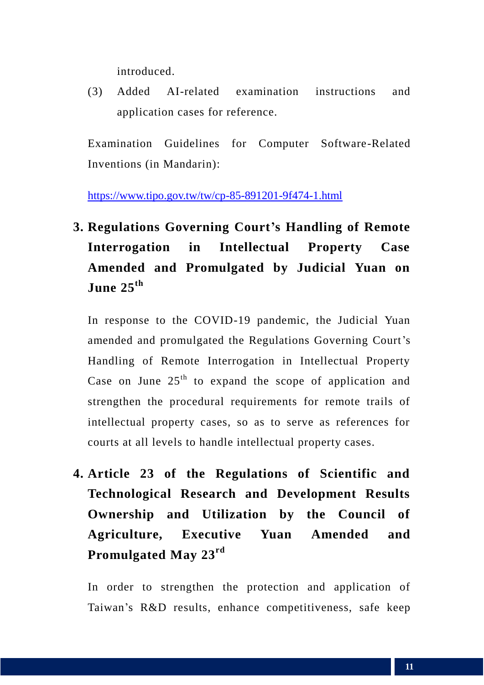introduced.

(3) Added AI-related examination instructions and application cases for reference.

Examination Guidelines for Computer Software-Related Inventions (in Mandarin):

<https://www.tipo.gov.tw/tw/cp-85-891201-9f474-1.html>

## **3. Regulations Governing Court's Handling of Remote Interrogation in Intellectual Property Case Amended and Promulgated by Judicial Yuan on June 25th**

In response to the COVID-19 pandemic, the Judicial Yuan amended and promulgated the Regulations Governing Court's Handling of Remote Interrogation in Intellectual Property Case on June  $25<sup>th</sup>$  to expand the scope of application and strengthen the procedural requirements for remote trails of intellectual property cases, so as to serve as references for courts at all levels to handle intellectual property cases.

**4. Article 23 of the Regulations of Scientific and Technological Research and Development Results Ownership and Utilization by the Council of Agriculture, Executive Yuan Amended and Promulgated May 23rd**

In order to strengthen the protection and application of Taiwan's R&D results, enhance competitiveness, safe keep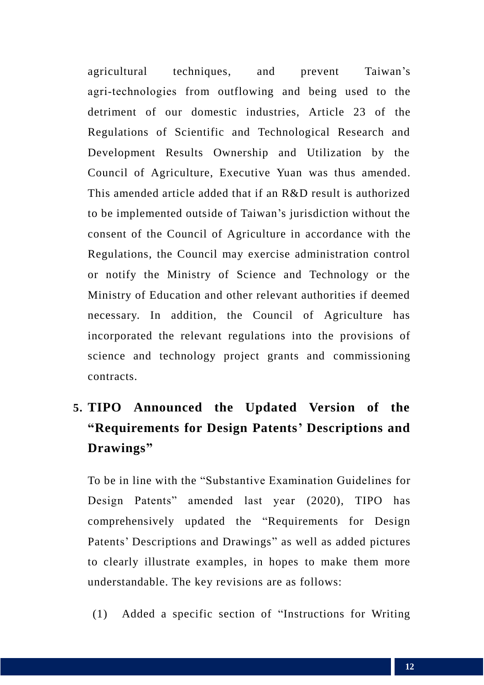agricultural techniques, and prevent Taiwan's agri-technologies from outflowing and being used to the detriment of our domestic industries, Article 23 of the Regulations of Scientific and Technological Research and Development Results Ownership and Utilization by the Council of Agriculture, Executive Yuan was thus amended. This amended article added that if an R&D result is authorized to be implemented outside of Taiwan's jurisdiction without the consent of the Council of Agriculture in accordance with the Regulations, the Council may exercise administration control or notify the Ministry of Science and Technology or the Ministry of Education and other relevant authorities if deemed necessary. In addition, the Council of Agriculture has incorporated the relevant regulations into the provisions of science and technology project grants and commissioning contracts.

## **5. TIPO Announced the Updated Version of the "Requirements for Design Patents' Descriptions and Drawings"**

To be in line with the "Substantive Examination Guidelines for Design Patents" amended last year (2020), TIPO has comprehensively updated the "Requirements for Design Patents' Descriptions and Drawings" as well as added pictures to clearly illustrate examples, in hopes to make them more understandable. The key revisions are as follows:

(1) Added a specific section of "Instructions for Writing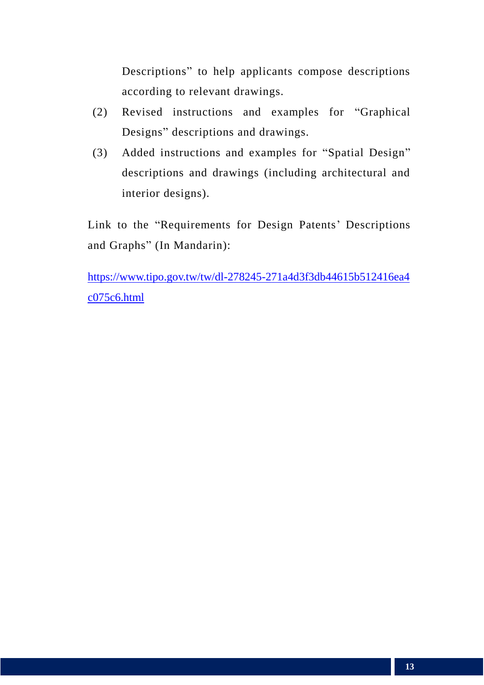Descriptions" to help applicants compose descriptions according to relevant drawings.

- (2) Revised instructions and examples for "Graphical Designs" descriptions and drawings.
- (3) Added instructions and examples for "Spatial Design" descriptions and drawings (including architectural and interior designs).

Link to the "Requirements for Design Patents' Descriptions and Graphs" (In Mandarin):

[https://www.tipo.gov.tw/tw/dl-278245-271a4d3f3db44615b512416ea4](https://www.tipo.gov.tw/tw/dl-278245-271a4d3f3db44615b512416ea4c075c6.html) [c075c6.html](https://www.tipo.gov.tw/tw/dl-278245-271a4d3f3db44615b512416ea4c075c6.html)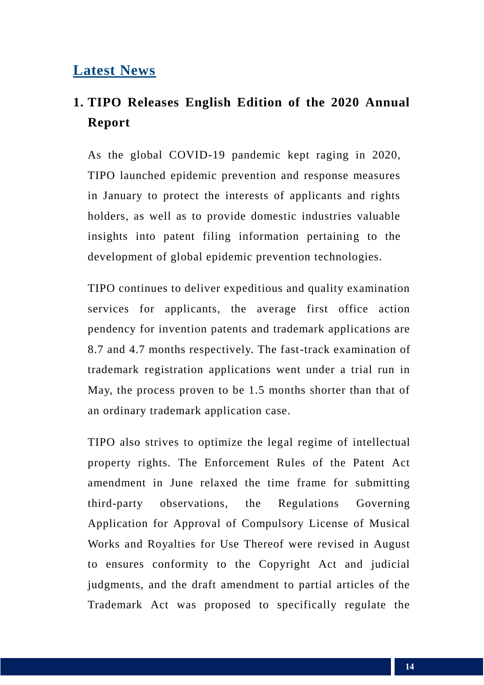## **Latest News**

## **1. TIPO Releases English Edition of the 2020 Annual Report**

As the global COVID-19 pandemic kept raging in 2020, TIPO launched epidemic prevention and response measures in January to protect the interests of applicants and rights holders, as well as to provide domestic industries valuable insights into patent filing information pertaining to the development of global epidemic prevention technologies.

TIPO continues to deliver expeditious and quality examination services for applicants, the average first office action pendency for invention patents and trademark applications are 8.7 and 4.7 months respectively. The fast-track examination of trademark registration applications went under a trial run in May, the process proven to be 1.5 months shorter than that of an ordinary trademark application case.

TIPO also strives to optimize the legal regime of intellectual property rights. The Enforcement Rules of the Patent Act amendment in June relaxed the time frame for submitting third-party observations, the Regulations Governing Application for Approval of Compulsory License of Musical Works and Royalties for Use Thereof were revised in August to ensures conformity to the Copyright Act and judicial judgments, and the draft amendment to partial articles of the Trademark Act was proposed to specifically regulate the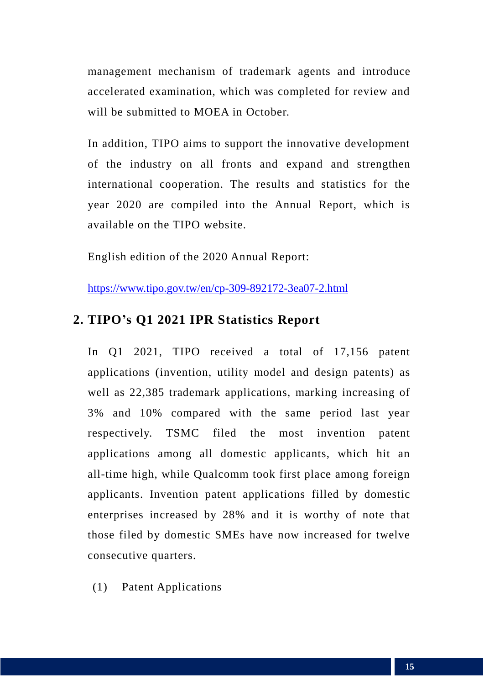management mechanism of trademark agents and introduce accelerated examination, which was completed for review and will be submitted to MOEA in October.

In addition, TIPO aims to support the innovative development of the industry on all fronts and expand and strengthen international cooperation. The results and statistics for the year 2020 are compiled into the Annual Report, which is available on the TIPO website.

English edition of the 2020 Annual Report:

<https://www.tipo.gov.tw/en/cp-309-892172-3ea07-2.html>

#### **2. TIPO's Q1 2021 IPR Statistics Report**

In Q1 2021, TIPO received a total of 17,156 patent applications (invention, utility model and design patents) as well as 22,385 trademark applications, marking increasing of 3% and 10% compared with the same period last year respectively. TSMC filed the most invention patent applications among all domestic applicants, which hit an all-time high, while Qualcomm took first place among foreign applicants. Invention patent applications filled by domestic enterprises increased by 28% and it is worthy of note that those filed by domestic SMEs have now increased for twelve consecutive quarters.

(1) Patent Applications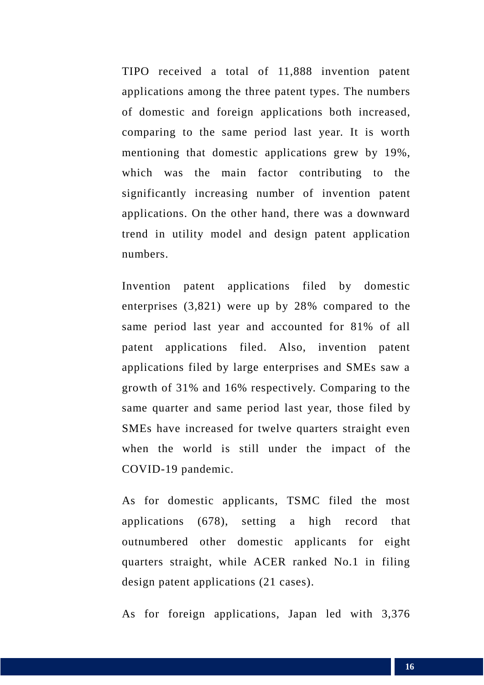TIPO received a total of 11,888 invention patent applications among the three patent types. The numbers of domestic and foreign applications both increased, comparing to the same period last year. It is worth mentioning that domestic applications grew by 19%, which was the main factor contributing to the significantly increasing number of invention patent applications. On the other hand, there was a downward trend in utility model and design patent application numbers.

Invention patent applications filed by domestic enterprises (3,821) were up by 28% compared to the same period last year and accounted for 81% of all patent applications filed. Also, invention patent applications filed by large enterprises and SMEs saw a growth of 31% and 16% respectively. Comparing to the same quarter and same period last year, those filed by SMEs have increased for twelve quarters straight even when the world is still under the impact of the COVID-19 pandemic.

As for domestic applicants, TSMC filed the most applications (678), setting a high record that outnumbered other domestic applicants for eight quarters straight, while ACER ranked No.1 in filing design patent applications (21 cases).

As for foreign applications, Japan led with 3,376

16 **16** 16 16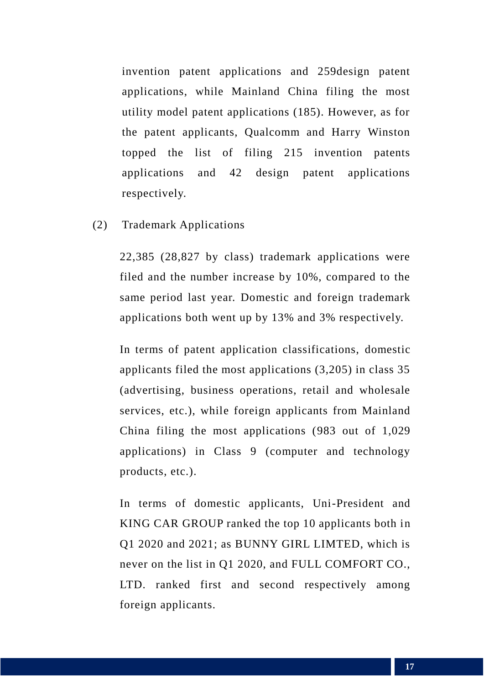invention patent applications and 259design patent applications, while Mainland China filing the most utility model patent applications (185). However, as for the patent applicants, Qualcomm and Harry Winston topped the list of filing 215 invention patents applications and 42 design patent applications respectively.

(2) Trademark Applications

22,385 (28,827 by class) trademark applications were filed and the number increase by 10%, compared to the same period last year. Domestic and foreign trademark applications both went up by 13% and 3% respectively.

In terms of patent application classifications, domestic applicants filed the most applications (3,205) in class 35 (advertising, business operations, retail and wholesale services, etc.), while foreign applicants from Mainland China filing the most applications (983 out of 1,029 applications) in Class 9 (computer and technology products, etc.).

In terms of domestic applicants, Uni-President and KING CAR GROUP ranked the top 10 applicants both in Q1 2020 and 2021; as BUNNY GIRL LIMTED, which is never on the list in Q1 2020, and FULL COMFORT CO., LTD. ranked first and second respectively among foreign applicants.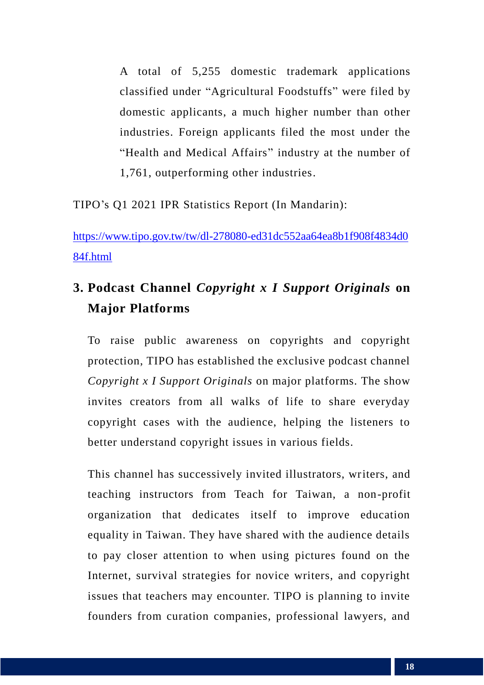A total of 5,255 domestic trademark applications classified under "Agricultural Foodstuffs" were filed by domestic applicants, a much higher number than other industries. Foreign applicants filed the most under the "Health and Medical Affairs" industry at the number of 1,761, outperforming other industries.

TIPO's Q1 2021 IPR Statistics Report (In Mandarin):

[https://www.tipo.gov.tw/tw/dl-278080-ed31dc552aa64ea8b1f908f4834d0](https://www.tipo.gov.tw/tw/dl-278080-ed31dc552aa64ea8b1f908f4834d084f.html) [84f.html](https://www.tipo.gov.tw/tw/dl-278080-ed31dc552aa64ea8b1f908f4834d084f.html)

## **3. Podcast Channel** *Copyright x I Support Originals* **on Major Platforms**

To raise public awareness on copyrights and copyright protection, TIPO has established the exclusive podcast channel *Copyright x I Support Originals* on major platforms. The show invites creators from all walks of life to share everyday copyright cases with the audience, helping the listeners to better understand copyright issues in various fields.

This channel has successively invited illustrators, writers, and teaching instructors from Teach for Taiwan, a non-profit organization that dedicates itself to improve education equality in Taiwan. They have shared with the audience details to pay closer attention to when using pictures found on the Internet, survival strategies for novice writers, and copyright issues that teachers may encounter. TIPO is planning to invite founders from curation companies, professional lawyers, and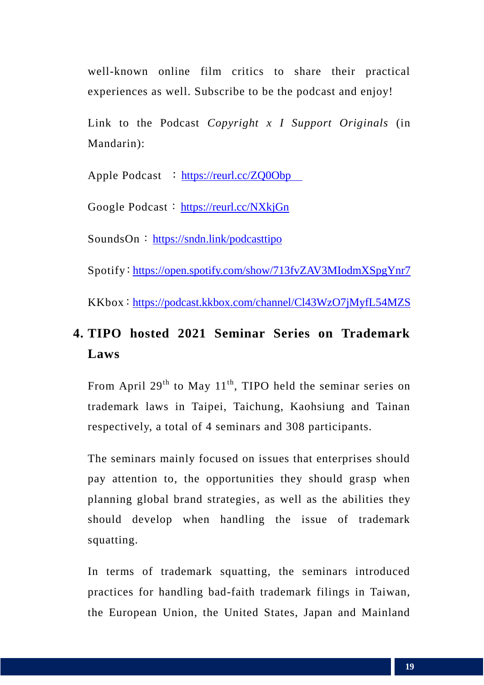well-known online film critics to share their practical experiences as well. Subscribe to be the podcast and enjoy!

Link to the Podcast *Copyright x I Support Originals* (in Mandarin):

Apple Podcast : https://reurl.cc/ZQ0Obp

Google Podcast: https://reurl.cc/NXkjGn

SoundsOn: https://sndn.link/podcasttipo

Spotify:https://open.spotify.com/show/713fvZAV3MIodmXSpgYnr7

KKbox:[https://podcast.kkbox.com/channel/Cl43WzO7jMyfL54MZS](about:blank#_blank)

## **4. TIPO hosted 2021 Seminar Series on Trademark Laws**

From April  $29<sup>th</sup>$  to May  $11<sup>th</sup>$ , TIPO held the seminar series on trademark laws in Taipei, Taichung, Kaohsiung and Tainan respectively, a total of 4 seminars and 308 participants.

The seminars mainly focused on issues that enterprises should pay attention to, the opportunities they should grasp when planning global brand strategies, as well as the abilities they should develop when handling the issue of trademark squatting.

In terms of trademark squatting, the seminars introduced practices for handling bad-faith trademark filings in Taiwan, the European Union, the United States, Japan and Mainland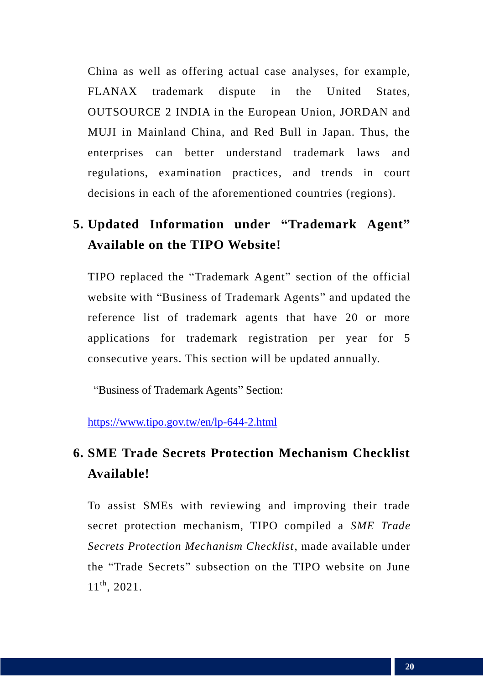China as well as offering actual case analyses, for example, FLANAX trademark dispute in the United States, OUTSOURCE 2 INDIA in the European Union, JORDAN and MUJI in Mainland China, and Red Bull in Japan. Thus, the enterprises can better understand trademark laws and regulations, examination practices, and trends in court decisions in each of the aforementioned countries (regions).

## **5. Updated Information under "Trademark Agent" Available on the TIPO Website!**

TIPO replaced the "Trademark Agent" section of the official website with "Business of Trademark Agents" and updated the reference list of trademark agents that have 20 or more applications for trademark registration per year for 5 consecutive years. This section will be updated annually.

"Business of Trademark Agents" Section:

<https://www.tipo.gov.tw/en/lp-644-2.html>

## **6. SME Trade Secrets Protection Mechanism Checklist Available!**

To assist SMEs with reviewing and improving their trade secret protection mechanism, TIPO compiled a *SME Trade Secrets Protection Mechanism Checklist*, made available under the "Trade Secrets" subsection on the TIPO website on June 11<sup>th</sup>, 2021.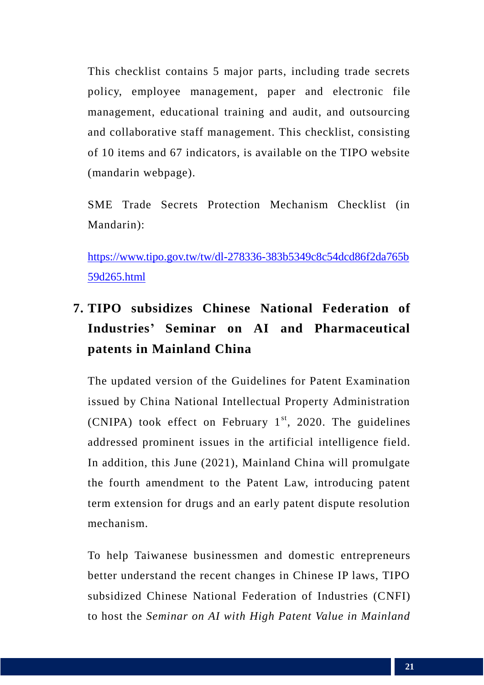This checklist contains 5 major parts, including trade secrets policy, employee management, paper and electronic file management, educational training and audit, and outsourcing and collaborative staff management. This checklist, consisting of 10 items and 67 indicators, is available on the TIPO website (mandarin webpage).

SME Trade Secrets Protection Mechanism Checklist (in Mandarin):

[https://www.tipo.gov.tw/tw/dl-278336-383b5349c8c54dcd86f2da765b](https://www.tipo.gov.tw/tw/dl-278336-383b5349c8c54dcd86f2da765b59d265.html) [59d265.html](https://www.tipo.gov.tw/tw/dl-278336-383b5349c8c54dcd86f2da765b59d265.html)

## **7. TIPO subsidizes Chinese National Federation of Industries' Seminar on AI and Pharmaceutical patents in Mainland China**

The updated version of the Guidelines for Patent Examination issued by China National Intellectual Property Administration (CNIPA) took effect on February  $1<sup>st</sup>$ , 2020. The guidelines addressed prominent issues in the artificial intelligence field. In addition, this June (2021), Mainland China will promulgate the fourth amendment to the Patent Law, introducing patent term extension for drugs and an early patent dispute resolution mechanism.

To help Taiwanese businessmen and domestic entrepreneurs better understand the recent changes in Chinese IP laws, TIPO subsidized Chinese National Federation of Industries (CNFI) to host the *Seminar on AI with High Patent Value in Mainland*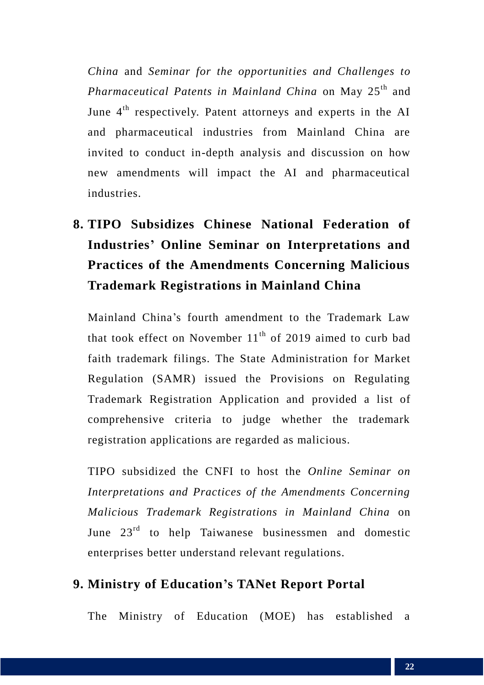*China* and *Seminar for the opportunities and Challenges to Pharmaceutical Patents in Mainland China* on May 25<sup>th</sup> and June 4<sup>th</sup> respectively. Patent attorneys and experts in the AI and pharmaceutical industries from Mainland China are invited to conduct in-depth analysis and discussion on how new amendments will impact the AI and pharmaceutical industries.

## **8. TIPO Subsidizes Chinese National Federation of Industries' Online Seminar on Interpretations and Practices of the Amendments Concerning Malicious Trademark Registrations in Mainland China**

Mainland China's fourth amendment to the Trademark Law that took effect on November  $11<sup>th</sup>$  of 2019 aimed to curb bad faith trademark filings. The State Administration for Market Regulation (SAMR) issued the Provisions on Regulating Trademark Registration Application and provided a list of comprehensive criteria to judge whether the trademark registration applications are regarded as malicious.

TIPO subsidized the CNFI to host the *Online Seminar on Interpretations and Practices of the Amendments Concerning Malicious Trademark Registrations in Mainland China* on June  $23<sup>rd</sup>$  to help Taiwanese businessmen and domestic enterprises better understand relevant regulations.

#### **9. Ministry of Education's TANet Report Portal**

The Ministry of Education (MOE) has established a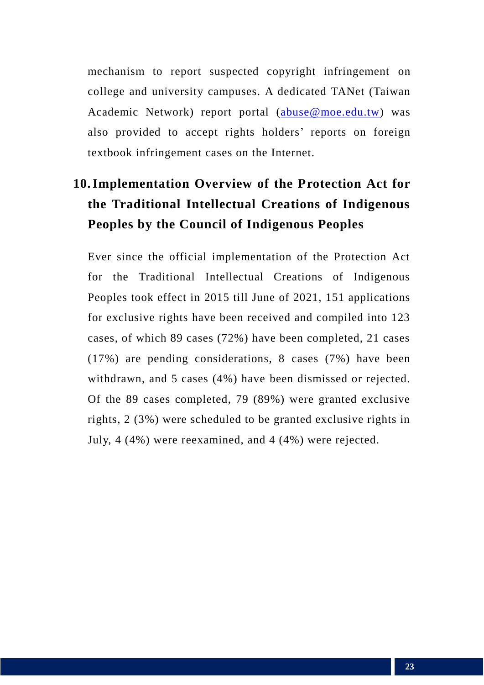mechanism to report suspected copyright infringement on college and university campuses. A dedicated TANet (Taiwan Academic Network) report portal [\(abuse@moe.edu.tw\)](mailto:abuse@moe.edu.tw) was also provided to accept rights holders' reports on foreign textbook infringement cases on the Internet.

## **10.Implementation Overview of the Protection Act for the Traditional Intellectual Creations of Indigenous Peoples by the Council of Indigenous Peoples**

Ever since the official implementation of the Protection Act for the Traditional Intellectual Creations of Indigenous Peoples took effect in 2015 till June of 2021, 151 applications for exclusive rights have been received and compiled into 123 cases, of which 89 cases (72%) have been completed, 21 cases (17%) are pending considerations, 8 cases (7%) have been withdrawn, and 5 cases (4%) have been dismissed or rejected. Of the 89 cases completed, 79 (89%) were granted exclusive rights, 2 (3%) were scheduled to be granted exclusive rights in July, 4 (4%) were reexamined, and 4 (4%) were rejected.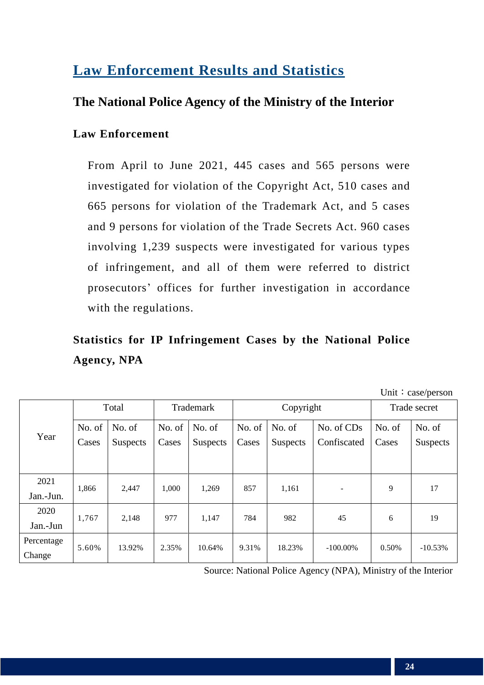## **Law Enforcement Results and Statistics**

#### **The National Police Agency of the Ministry of the Interior**

#### **Law Enforcement**

From April to June 2021, 445 cases and 565 persons were investigated for violation of the Copyright Act, 510 cases and 665 persons for violation of the Trademark Act, and 5 cases and 9 persons for violation of the Trade Secrets Act. 960 cases involving 1,239 suspects were investigated for various types of infringement, and all of them were referred to district prosecutors' offices for further investigation in accordance with the regulations.

## **Statistics for IP Infringement Cases by the National Police Agency, NPA**

| Unit: case/person |
|-------------------|
|-------------------|

| Year                 | Total                             |        | Trademark       |        |                 | Copyright   | Trade secret |                 |           |  |
|----------------------|-----------------------------------|--------|-----------------|--------|-----------------|-------------|--------------|-----------------|-----------|--|
|                      | No. of                            | No. of | No. of          | No. of | No. of          | No. of      | No. of CDs   | No. of          | No. of    |  |
|                      | Cases<br>Cases<br><b>Suspects</b> |        | <b>Suspects</b> | Cases  | <b>Suspects</b> | Confiscated | Cases        | <b>Suspects</b> |           |  |
|                      |                                   |        |                 |        |                 |             |              |                 |           |  |
| 2021                 | 1,866                             | 2,447  | 1,000           | 1,269  | 857             | 1,161       |              | 9               | 17        |  |
| Jan.-Jun.            |                                   |        |                 |        |                 |             |              |                 |           |  |
| 2020                 |                                   |        |                 |        |                 |             |              |                 |           |  |
| Jan.-Jun             | 1,767                             | 2,148  | 977             | 1,147  | 784             | 982         | 45           | 6               | 19        |  |
| Percentage<br>Change | 5.60%                             | 13.92% | 2.35%           | 10.64% | 9.31%           | 18.23%      | $-100.00\%$  | 0.50%           | $-10.53%$ |  |

Source: National Police Agency (NPA), Ministry of the Interior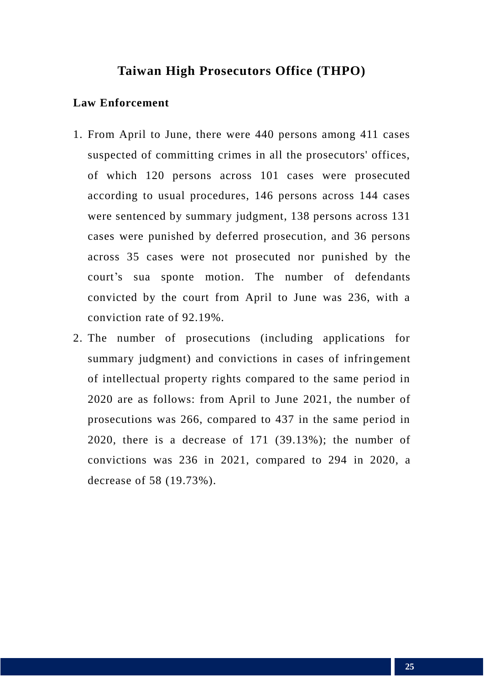#### **Taiwan High Prosecutors Office (THPO)**

#### **Law Enforcement**

- 1. From April to June, there were 440 persons among 411 cases suspected of committing crimes in all the prosecutors' offices, of which 120 persons across 101 cases were prosecuted according to usual procedures, 146 persons across 144 cases were sentenced by summary judgment, 138 persons across 131 cases were punished by deferred prosecution, and 36 persons across 35 cases were not prosecuted nor punished by the court's sua sponte motion. The number of defendants convicted by the court from April to June was 236, with a conviction rate of 92.19%.
- 2. The number of prosecutions (including applications for summary judgment) and convictions in cases of infringement of intellectual property rights compared to the same period in 2020 are as follows: from April to June 2021, the number of prosecutions was 266, compared to 437 in the same period in 2020, there is a decrease of 171 (39.13%); the number of convictions was 236 in 2021, compared to 294 in 2020, a decrease of 58 (19.73%).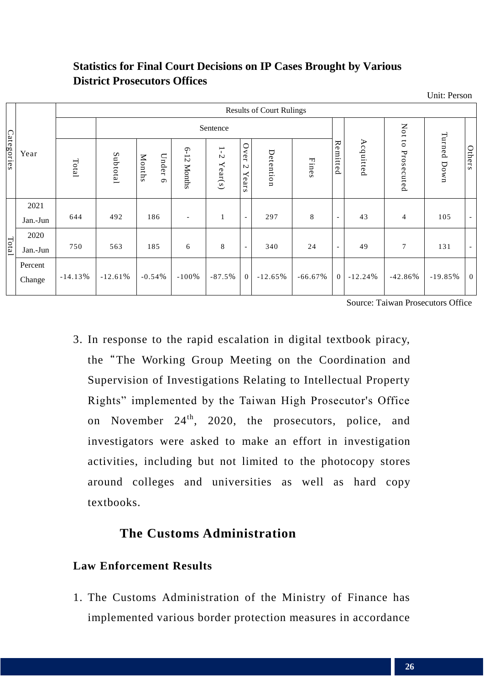#### **Statistics for Final Court Decisions on IP Cases Brought by Various District Prosecutors Offices**

Unit: Person

| Categories | Year              | <b>Results of Court Rulings</b> |           |                             |                           |                  |                                |           |              |                          |           |                |             |                          |
|------------|-------------------|---------------------------------|-----------|-----------------------------|---------------------------|------------------|--------------------------------|-----------|--------------|--------------------------|-----------|----------------|-------------|--------------------------|
|            |                   |                                 | Sentence  |                             |                           |                  |                                |           |              |                          |           | Not to         |             |                          |
|            |                   | Total                           | Subtotal  | Months<br>Under<br>$\sigma$ | $6 - 12$<br><b>Months</b> | $1-2$<br>Year(s) | Over<br>$\mathcal{L}$<br>Years | Detention | <b>Fines</b> | Remitted                 | Acquitted | Prosecuted     | Turned Down | Others                   |
| Total      | 2021              |                                 |           |                             |                           |                  |                                |           |              |                          |           |                |             |                          |
|            | Jan.-Jun          | 644                             | 492       | 186                         | $\overline{\phantom{0}}$  | $\mathbf{1}$     | $\overline{\phantom{a}}$       | 297       | 8            | $\overline{\phantom{a}}$ | 43        | $\overline{4}$ | 105         | $\overline{\phantom{a}}$ |
|            | 2020              |                                 |           |                             |                           |                  |                                |           |              |                          |           |                |             |                          |
|            | Jan.-Jun          | 750                             | 563       | 185                         | 6                         | 8                | $\overline{\phantom{a}}$       | 340       | 24           | $\overline{\phantom{a}}$ | 49        | 7              | 131         | $\overline{\phantom{a}}$ |
|            | Percent<br>Change | $-14.13%$                       | $-12.61%$ | $-0.54%$                    | $-100%$                   | $-87.5%$         | $\overline{0}$                 | $-12.65%$ | $-66.67\%$   | $\Omega$                 | $-12.24%$ | $-42.86%$      | $-19.85%$   | $\overline{0}$           |

Source: Taiwan Prosecutors Office

3. In response to the rapid escalation in digital textbook piracy, the"The Working Group Meeting on the Coordination and Supervision of Investigations Relating to Intellectual Property Rights" implemented by the Taiwan High Prosecutor's Office on November  $24<sup>th</sup>$ , 2020, the prosecutors, police, and investigators were asked to make an effort in investigation activities, including but not limited to the photocopy stores around colleges and universities as well as hard copy textbooks.

#### **The Customs Administration**

#### **Law Enforcement Results**

1. The Customs Administration of the Ministry of Finance has implemented various border protection measures in accordance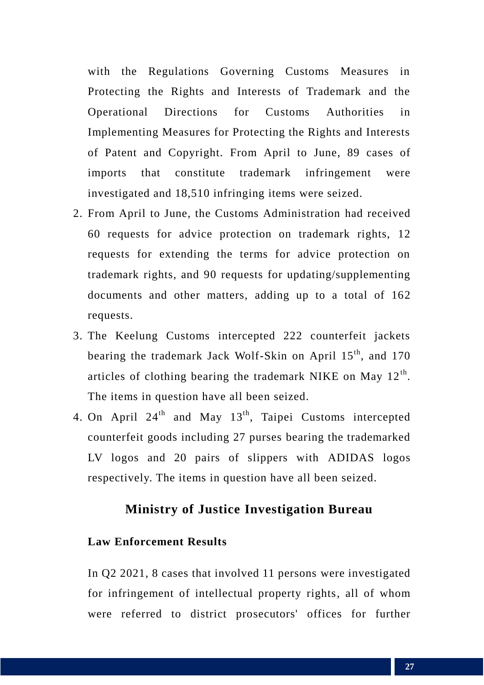with the Regulations Governing Customs Measures in Protecting the Rights and Interests of Trademark and the Operational Directions for Customs Authorities in Implementing Measures for Protecting the Rights and Interests of Patent and Copyright. From April to June, 89 cases of imports that constitute trademark infringement were investigated and 18,510 infringing items were seized.

- 2. From April to June, the Customs Administration had received 60 requests for advice protection on trademark rights, 12 requests for extending the terms for advice protection on trademark rights, and 90 requests for updating/supplementing documents and other matters, adding up to a total of 162 requests.
- 3. The Keelung Customs intercepted 222 counterfeit jackets bearing the trademark Jack Wolf-Skin on April 15<sup>th</sup>, and 170 articles of clothing bearing the trademark NIKE on May  $12<sup>th</sup>$ . The items in question have all been seized.
- 4. On April  $24<sup>th</sup>$  and May  $13<sup>th</sup>$ , Taipei Customs intercepted counterfeit goods including 27 purses bearing the trademarked LV logos and 20 pairs of slippers with ADIDAS logos respectively. The items in question have all been seized.

#### **Ministry of Justice Investigation Bureau**

#### **Law Enforcement Results**

In Q2 2021, 8 cases that involved 11 persons were investigated for infringement of intellectual property rights, all of whom were referred to district prosecutors' offices for further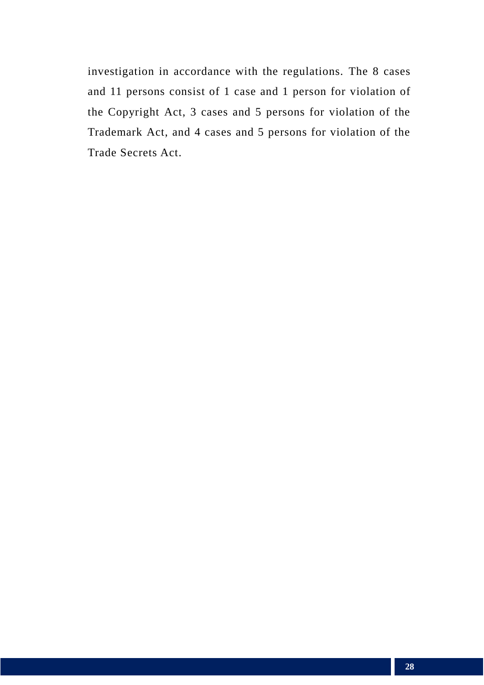investigation in accordance with the regulations. The 8 cases and 11 persons consist of 1 case and 1 person for violation of the Copyright Act, 3 cases and 5 persons for violation of the Trademark Act, and 4 cases and 5 persons for violation of the Trade Secrets Act.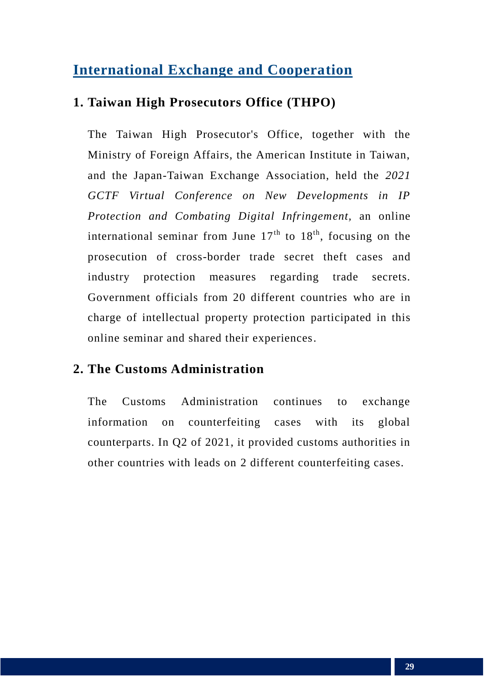## **International Exchange and Cooperation**

#### **1. Taiwan High Prosecutors Office (THPO)**

The Taiwan High Prosecutor's Office, together with the Ministry of Foreign Affairs, the American Institute in Taiwan, and the Japan-Taiwan Exchange Association, held the *2021 GCTF Virtual Conference on New Developments in IP Protection and Combating Digital Infringement,* an online international seminar from June  $17<sup>th</sup>$  to  $18<sup>th</sup>$ , focusing on the prosecution of cross-border trade secret theft cases and industry protection measures regarding trade secrets. Government officials from 20 different countries who are in charge of intellectual property protection participated in this online seminar and shared their experiences.

#### **2. The Customs Administration**

The Customs Administration continues to exchange information on counterfeiting cases with its global counterparts. In Q2 of 2021, it provided customs authorities in other countries with leads on 2 different counterfeiting cases.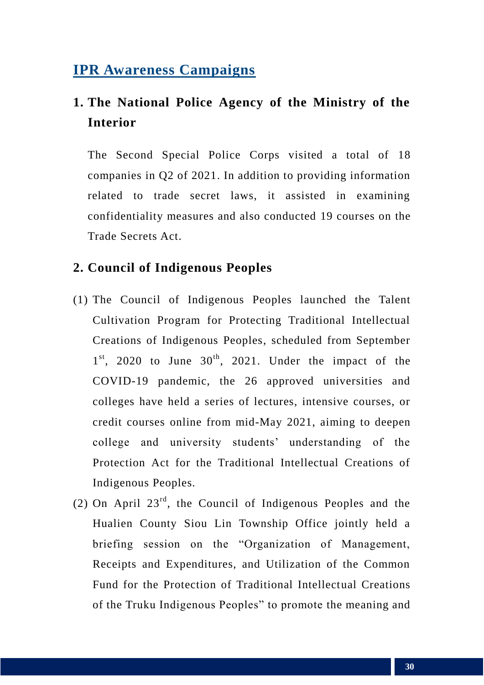## **IPR Awareness Campaigns**

## **1. The National Police Agency of the Ministry of the Interior**

The Second Special Police Corps visited a total of 18 companies in Q2 of 2021. In addition to providing information related to trade secret laws, it assisted in examining confidentiality measures and also conducted 19 courses on the Trade Secrets Act.

#### **2. Council of Indigenous Peoples**

- (1) The Council of Indigenous Peoples launched the Talent Cultivation Program for Protecting Traditional Intellectual Creations of Indigenous Peoples, scheduled from September  $1<sup>st</sup>$ , 2020 to June  $30<sup>th</sup>$ , 2021. Under the impact of the COVID-19 pandemic, the 26 approved universities and colleges have held a series of lectures, intensive courses, or credit courses online from mid-May 2021, aiming to deepen college and university students' understanding of the Protection Act for the Traditional Intellectual Creations of Indigenous Peoples.
- (2) On April  $23^{rd}$ , the Council of Indigenous Peoples and the Hualien County Siou Lin Township Office jointly held a briefing session on the "Organization of Management, Receipts and Expenditures, and Utilization of the Common Fund for the Protection of Traditional Intellectual Creations of the Truku Indigenous Peoples" to promote the meaning and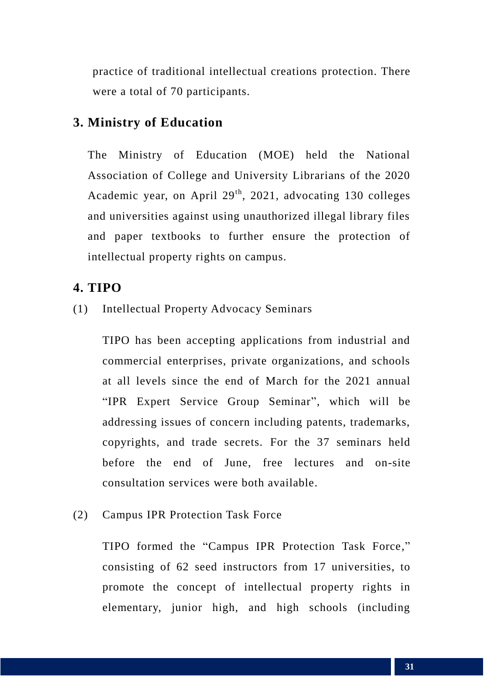practice of traditional intellectual creations protection. There were a total of 70 participants.

#### **3. Ministry of Education**

The Ministry of Education (MOE) held the National Association of College and University Librarians of the 2020 Academic year, on April  $29<sup>th</sup>$ , 2021, advocating 130 colleges and universities against using unauthorized illegal library files and paper textbooks to further ensure the protection of intellectual property rights on campus.

#### **4. TIPO**

(1) Intellectual Property Advocacy Seminars

TIPO has been accepting applications from industrial and commercial enterprises, private organizations, and schools at all levels since the end of March for the 2021 annual "IPR Expert Service Group Seminar", which will be addressing issues of concern including patents, trademarks, copyrights, and trade secrets. For the 37 seminars held before the end of June, free lectures and on-site consultation services were both available.

(2) Campus IPR Protection Task Force

TIPO formed the "Campus IPR Protection Task Force," consisting of 62 seed instructors from 17 universities, to promote the concept of intellectual property rights in elementary, junior high, and high schools (including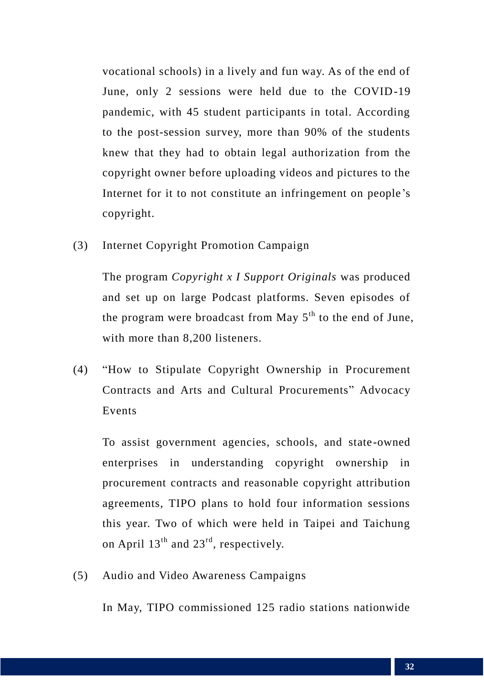vocational schools) in a lively and fun way. As of the end of June, only 2 sessions were held due to the COVID-19 pandemic, with 45 student participants in total. According to the post-session survey, more than 90% of the students knew that they had to obtain legal authorization from the copyright owner before uploading videos and pictures to the Internet for it to not constitute an infringement on people's copyright.

(3) Internet Copyright Promotion Campaign

The program *Copyright x I Support Originals* was produced and set up on large Podcast platforms. Seven episodes of the program were broadcast from May  $5<sup>th</sup>$  to the end of June, with more than 8.200 listeners.

(4) "How to Stipulate Copyright Ownership in Procurement Contracts and Arts and Cultural Procurements" Advocacy Events

To assist government agencies, schools, and state-owned enterprises in understanding copyright ownership in procurement contracts and reasonable copyright attribution agreements, TIPO plans to hold four information sessions this year. Two of which were held in Taipei and Taichung on April 13<sup>th</sup> and 23<sup>rd</sup>, respectively.

(5) Audio and Video Awareness Campaigns

In May, TIPO commissioned 125 radio stations nationwide